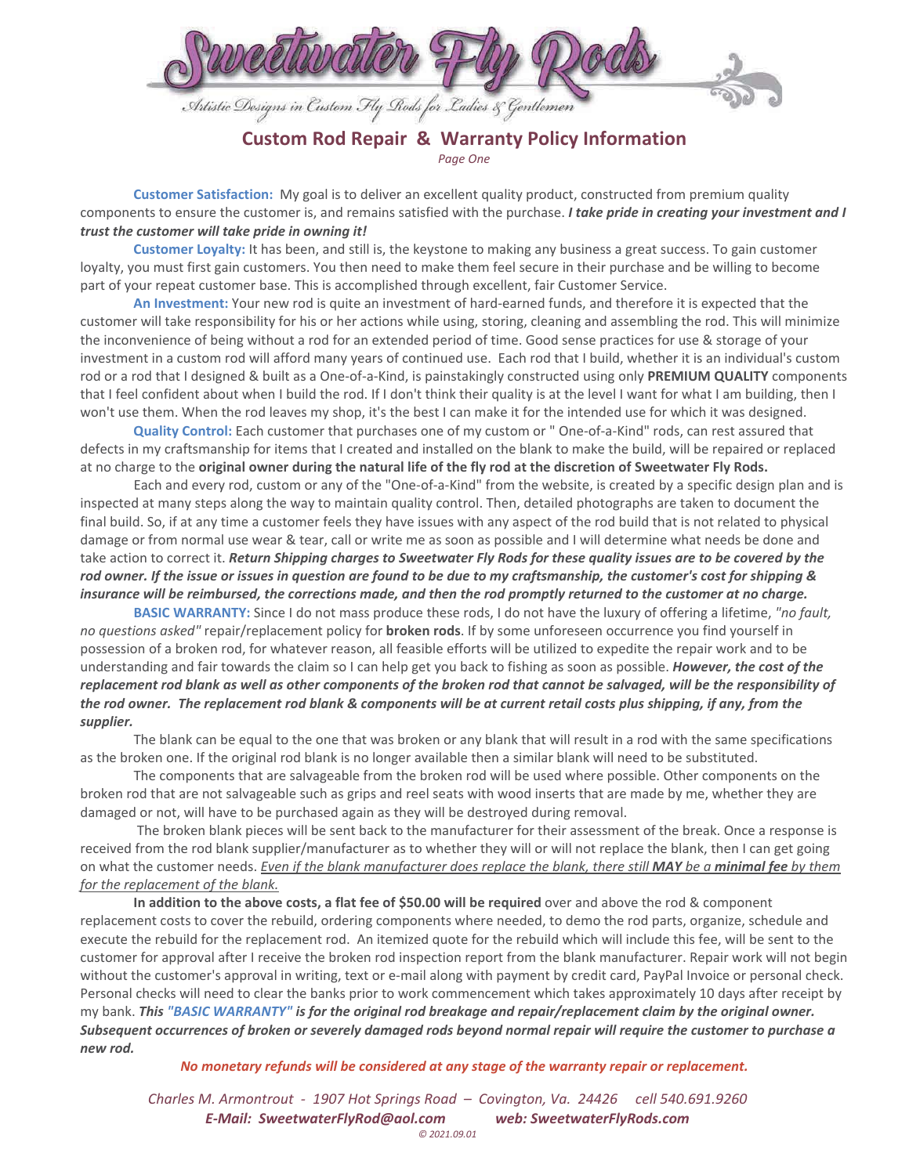

## **Custom Rod Repair & Warranty Policy Information**  *Page One*

 **Customer Satisfaction:** My goal is to deliver an excellent quality product, constructed from premium quality components to ensure the customer is, and remains satisfied with the purchase. *I take pride in creating your investment and I trust the customer will take pride in owning it!* 

 **Customer Loyalty:** It has been, and still is, the keystone to making any business a great success. To gain customer loyalty, you must first gain customers. You then need to make them feel secure in their purchase and be willing to become part of your repeat customer base. This is accomplished through excellent, fair Customer Service.

 **An Investment:** Your new rod is quite an investment of hard-earned funds, and therefore it is expected that the customer will take responsibility for his or her actions while using, storing, cleaning and assembling the rod. This will minimize the inconvenience of being without a rod for an extended period of time. Good sense practices for use & storage of your investment in a custom rod will afford many years of continued use. Each rod that I build, whether it is an individual's custom rod or a rod that I designed & built as a One-of-a-Kind, is painstakingly constructed using only **PREMIUM QUALITY** components that I feel confident about when I build the rod. If I don't think their quality is at the level I want for what I am building, then I won't use them. When the rod leaves my shop, it's the best I can make it for the intended use for which it was designed.

 **Quality Control:** Each customer that purchases one of my custom or " One-of-a-Kind" rods, can rest assured that defects in my craftsmanship for items that I created and installed on the blank to make the build, will be repaired or replaced at no charge to the **original owner during the natural life of the fly rod at the discretion of Sweetwater Fly Rods.**

 Each and every rod, custom or any of the "One-of-a-Kind" from the website, is created by a specific design plan and is inspected at many steps along the way to maintain quality control. Then, detailed photographs are taken to document the final build. So, if at any time a customer feels they have issues with any aspect of the rod build that is not related to physical damage or from normal use wear & tear, call or write me as soon as possible and I will determine what needs be done and take action to correct it. *Return Shipping charges to Sweetwater Fly Rods for these quality issues are to be covered by the rod owner. If the issue or issues in question are found to be due to my craftsmanship, the customer's cost for shipping & insurance will be reimbursed, the corrections made, and then the rod promptly returned to the customer at no charge.* 

**BASIC WARRANTY:** Since I do not mass produce these rods, I do not have the luxury of offering a lifetime, *"no fault, no questions asked"* repair/replacement policy for **broken rods**. If by some unforeseen occurrence you find yourself in possession of a broken rod, for whatever reason, all feasible efforts will be utilized to expedite the repair work and to be understanding and fair towards the claim so I can help get you back to fishing as soon as possible. *However, the cost of the replacement rod blank as well as other components of the broken rod that cannot be salvaged, will be the responsibility of the rod owner. The replacement rod blank & components will be at current retail costs plus shipping, if any, from the supplier.* 

 The blank can be equal to the one that was broken or any blank that will result in a rod with the same specifications as the broken one. If the original rod blank is no longer available then a similar blank will need to be substituted.

The components that are salvageable from the broken rod will be used where possible. Other components on the broken rod that are not salvageable such as grips and reel seats with wood inserts that are made by me, whether they are damaged or not, will have to be purchased again as they will be destroyed during removal.

 The broken blank pieces will be sent back to the manufacturer for their assessment of the break. Once a response is received from the rod blank supplier/manufacturer as to whether they will or will not replace the blank, then I can get going on what the customer needs. *Even if the blank manufacturer does replace the blank, there still MAY be a minimal fee by them for the replacement of the blank.*

 **In addition to the above costs, a flat fee of \$50.00 will be required** over and above the rod & component replacement costs to cover the rebuild, ordering components where needed, to demo the rod parts, organize, schedule and execute the rebuild for the replacement rod. An itemized quote for the rebuild which will include this fee, will be sent to the customer for approval after I receive the broken rod inspection report from the blank manufacturer. Repair work will not begin without the customer's approval in writing, text or e-mail along with payment by credit card, PayPal Invoice or personal check. Personal checks will need to clear the banks prior to work commencement which takes approximately 10 days after receipt by my bank. *This "BASIC WARRANTY" is for the original rod breakage and repair/replacement claim by the original owner. Subsequent occurrences of broken or severely damaged rods beyond normal repair will require the customer to purchase a new rod.*

*No monetary refunds will be considered at any stage of the warranty repair or replacement.*

*Charles M. Armontrout - 1907 Hot Springs Road – Covington, Va. 24426 cell 540.691.9260 E-Mail: SweetwaterFlyRod@aol.com web: SweetwaterFlyRods.com © 2021.09.01*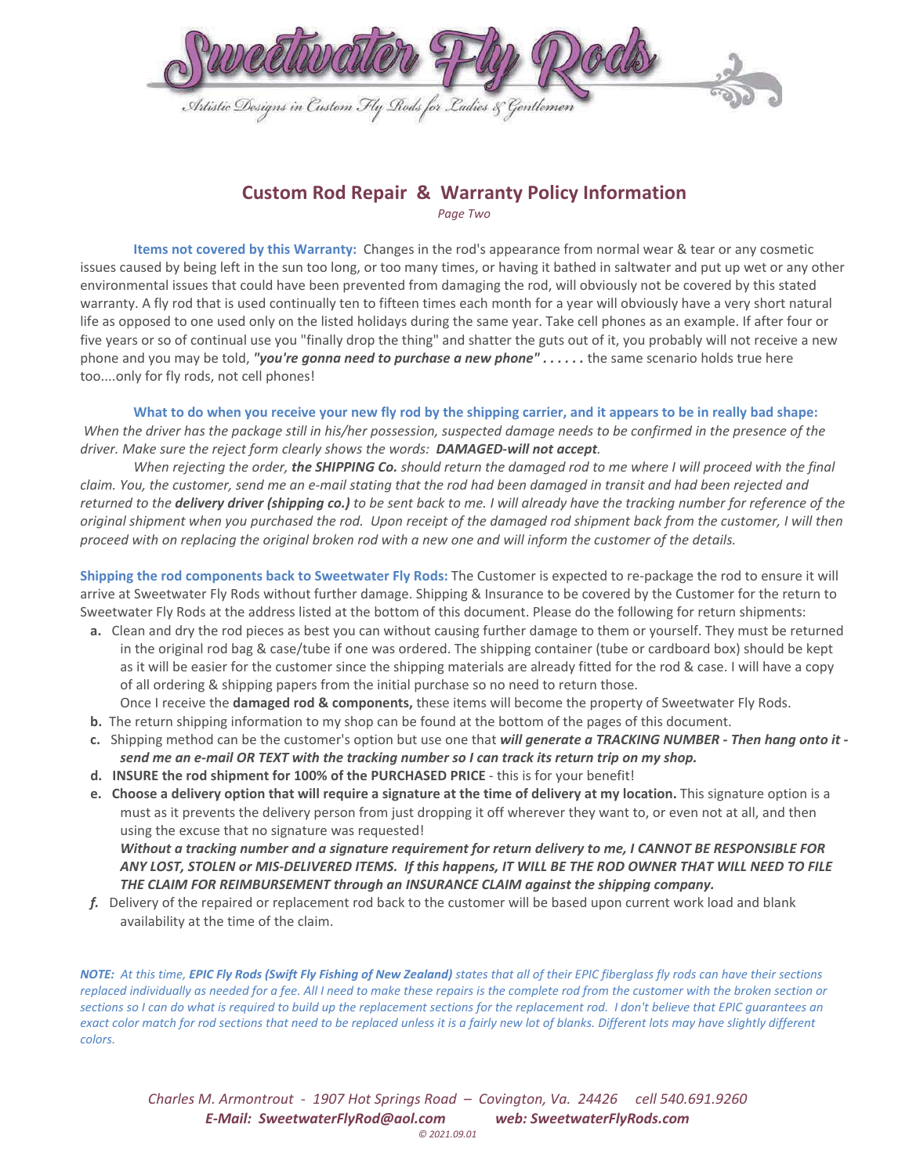

## **Custom Rod Repair & Warranty Policy Information**

*Page Two* 

 **Items not covered by this Warranty:** Changes in the rod's appearance from normal wear & tear or any cosmetic issues caused by being left in the sun too long, or too many times, or having it bathed in saltwater and put up wet or any other environmental issues that could have been prevented from damaging the rod, will obviously not be covered by this stated warranty. A fly rod that is used continually ten to fifteen times each month for a year will obviously have a very short natural life as opposed to one used only on the listed holidays during the same year. Take cell phones as an example. If after four or five years or so of continual use you "finally drop the thing" and shatter the guts out of it, you probably will not receive a new phone and you may be told, "you're gonna need to purchase a new phone" . . . . . . the same scenario holds true here too....only for fly rods, not cell phones!

 **What to do when you receive your new fly rod by the shipping carrier, and it appears to be in really bad shape:** *When the driver has the package still in his/her possession, suspected damage needs to be confirmed in the presence of the driver. Make sure the reject form clearly shows the words: DAMAGED-will not accept.* 

 *When rejecting the order, the SHIPPING Co. should return the damaged rod to me where I will proceed with the final claim. You, the customer, send me an e-mail stating that the rod had been damaged in transit and had been rejected and returned to the delivery driver (shipping co.) to be sent back to me. I will already have the tracking number for reference of the original shipment when you purchased the rod. Upon receipt of the damaged rod shipment back from the customer, I will then proceed with on replacing the original broken rod with a new one and will inform the customer of the details.*

**Shipping the rod components back to Sweetwater Fly Rods:** The Customer is expected to re-package the rod to ensure it will arrive at Sweetwater Fly Rods without further damage. Shipping & Insurance to be covered by the Customer for the return to Sweetwater Fly Rods at the address listed at the bottom of this document. Please do the following for return shipments:

 **a.** Clean and dry the rod pieces as best you can without causing further damage to them or yourself. They must be returned in the original rod bag & case/tube if one was ordered. The shipping container (tube or cardboard box) should be kept as it will be easier for the customer since the shipping materials are already fitted for the rod & case. I will have a copy of all ordering & shipping papers from the initial purchase so no need to return those.

Once I receive the **damaged rod & components,** these items will become the property of Sweetwater Fly Rods.

- **b.** The return shipping information to my shop can be found at the bottom of the pages of this document.
- **c.** Shipping method can be the customer's option but use one that *will generate a TRACKING NUMBER Then hang onto it send me an e-mail OR TEXT with the tracking number so I can track its return trip on my shop.*
- **d. INSURE the rod shipment for 100% of the PURCHASED PRICE**  this is for your benefit!
- **e. Choose a delivery option that will require a signature at the time of delivery at my location.** This signature option is a must as it prevents the delivery person from just dropping it off wherever they want to, or even not at all, and then using the excuse that no signature was requested!

 *Without a tracking number and a signature requirement for return delivery to me, I CANNOT BE RESPONSIBLE FOR ANY LOST, STOLEN or MIS-DELIVERED ITEMS. If this happens, IT WILL BE THE ROD OWNER THAT WILL NEED TO FILE THE CLAIM FOR REIMBURSEMENT through an INSURANCE CLAIM against the shipping company.* 

 *f.* Delivery of the repaired or replacement rod back to the customer will be based upon current work load and blank availability at the time of the claim.

*NOTE: At this time, EPIC Fly Rods (Swift Fly Fishing of New Zealand) states that all of their EPIC fiberglass fly rods can have their sections replaced individually as needed for a fee. All I need to make these repairs is the complete rod from the customer with the broken section or sections so I can do what is required to build up the replacement sections for the replacement rod. I don't believe that EPIC guarantees an*  exact color match for rod sections that need to be replaced unless it is a fairly new lot of blanks. Different lots may have slightly different *colors.*